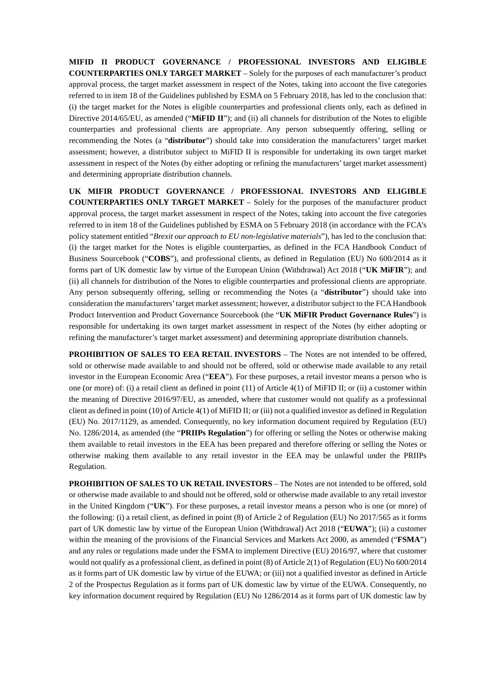**MIFID II PRODUCT GOVERNANCE / PROFESSIONAL INVESTORS AND ELIGIBLE COUNTERPARTIES ONLY TARGET MARKET** – Solely for the purposes of each manufacturer's product approval process, the target market assessment in respect of the Notes, taking into account the five categories referred to in item 18 of the Guidelines published by ESMA on 5 February 2018, has led to the conclusion that: (i) the target market for the Notes is eligible counterparties and professional clients only, each as defined in Directive 2014/65/EU, as amended ("**MIFID II**"); and (ii) all channels for distribution of the Notes to eligible counterparties and professional clients are appropriate. Any person subsequently offering, selling or recommending the Notes (a "**distributor**") should take into consideration the manufacturers' target market assessment; however, a distributor subject to MiFID II is responsible for undertaking its own target market assessment in respect of the Notes (by either adopting or refining the manufacturers' target market assessment) and determining appropriate distribution channels.

**UK MIFIR PRODUCT GOVERNANCE / PROFESSIONAL INVESTORS AND ELIGIBLE COUNTERPARTIES ONLY TARGET MARKET** – Solely for the purposes of the manufacturer product approval process, the target market assessment in respect of the Notes, taking into account the five categories referred to in item 18 of the Guidelines published by ESMA on 5 February 2018 (in accordance with the FCA's policy statement entitled "*Brexit our approach to EU non-legislative materials*"), has led to the conclusion that: (i) the target market for the Notes is eligible counterparties, as defined in the FCA Handbook Conduct of Business Sourcebook ("**COBS**"), and professional clients, as defined in Regulation (EU) No 600/2014 as it forms part of UK domestic law by virtue of the European Union (Withdrawal) Act 2018 ("**UK MiFIR**"); and (ii) all channels for distribution of the Notes to eligible counterparties and professional clients are appropriate. Any person subsequently offering, selling or recommending the Notes (a "**distributor**") should take into consideration the manufacturers' target market assessment; however, a distributor subject to the FCA Handbook Product Intervention and Product Governance Sourcebook (the "**UK MiFIR Product Governance Rules**") is responsible for undertaking its own target market assessment in respect of the Notes (by either adopting or refining the manufacturer's target market assessment) and determining appropriate distribution channels.

**PROHIBITION OF SALES TO EEA RETAIL INVESTORS** – The Notes are not intended to be offered, sold or otherwise made available to and should not be offered, sold or otherwise made available to any retail investor in the European Economic Area ("**EEA**"). For these purposes, a retail investor means a person who is one (or more) of: (i) a retail client as defined in point (11) of Article 4(1) of MiFID II; or (ii) a customer within the meaning of Directive 2016/97/EU, as amended, where that customer would not qualify as a professional client as defined in point (10) of Article 4(1) of MiFID II; or (iii) not a qualified investor as defined in Regulation (EU) No. 2017/1129, as amended. Consequently, no key information document required by Regulation (EU) No. 1286/2014, as amended (the "**PRIIPs Regulation**") for offering or selling the Notes or otherwise making them available to retail investors in the EEA has been prepared and therefore offering or selling the Notes or otherwise making them available to any retail investor in the EEA may be unlawful under the PRIIPs Regulation.

**PROHIBITION OF SALES TO UK RETAIL INVESTORS** – The Notes are not intended to be offered, sold or otherwise made available to and should not be offered, sold or otherwise made available to any retail investor in the United Kingdom ("**UK**"). For these purposes, a retail investor means a person who is one (or more) of the following: (i) a retail client, as defined in point (8) of Article 2 of Regulation (EU) No 2017/565 as it forms part of UK domestic law by virtue of the European Union (Withdrawal) Act 2018 ("**EUWA**"); (ii) a customer within the meaning of the provisions of the Financial Services and Markets Act 2000, as amended ("**FSMA**") and any rules or regulations made under the FSMA to implement Directive (EU) 2016/97, where that customer would not qualify as a professional client, as defined in point (8) of Article 2(1) of Regulation (EU) No 600/2014 as it forms part of UK domestic law by virtue of the EUWA; or (iii) not a qualified investor as defined in Article 2 of the Prospectus Regulation as it forms part of UK domestic law by virtue of the EUWA. Consequently, no key information document required by Regulation (EU) No 1286/2014 as it forms part of UK domestic law by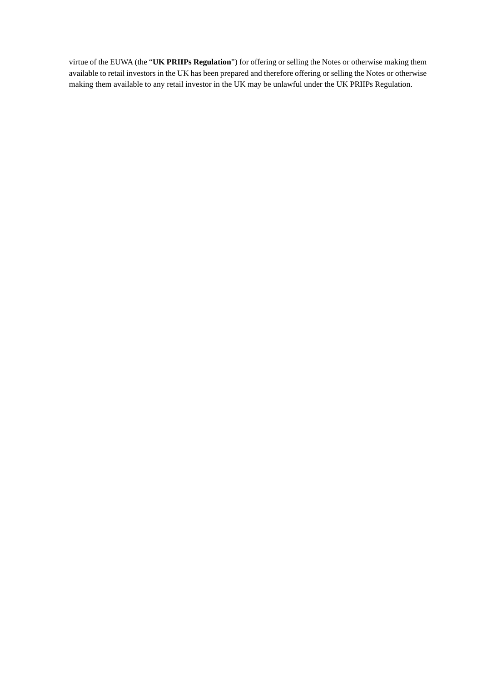virtue of the EUWA (the "**UK PRIIPs Regulation**") for offering or selling the Notes or otherwise making them available to retail investors in the UK has been prepared and therefore offering or selling the Notes or otherwise making them available to any retail investor in the UK may be unlawful under the UK PRIIPs Regulation.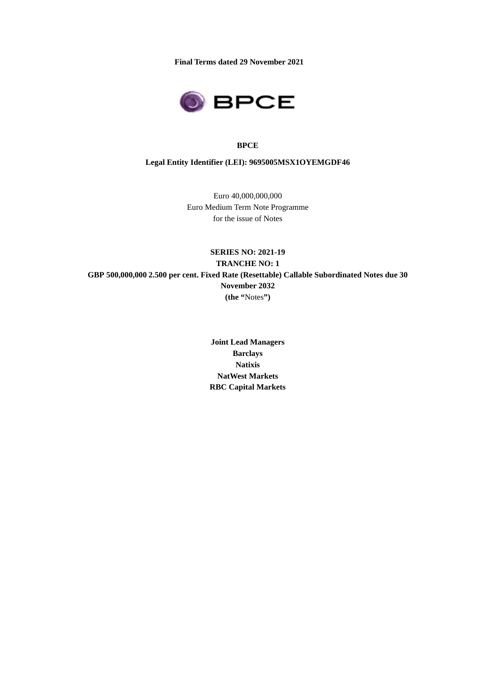**Final Terms dated 29 November 2021** 



#### **BPCE**

**Legal Entity Identifier (LEI): 9695005MSX1OYEMGDF46** 

Euro 40,000,000,000 Euro Medium Term Note Programme for the issue of Notes

**SERIES NO: 2021-19 TRANCHE NO: 1 GBP 500,000,000 2.500 per cent. Fixed Rate (Resettable) Callable Subordinated Notes due 30 November 2032 (the "**Notes**")** 

> **Joint Lead Managers Barclays Natixis NatWest Markets RBC Capital Markets**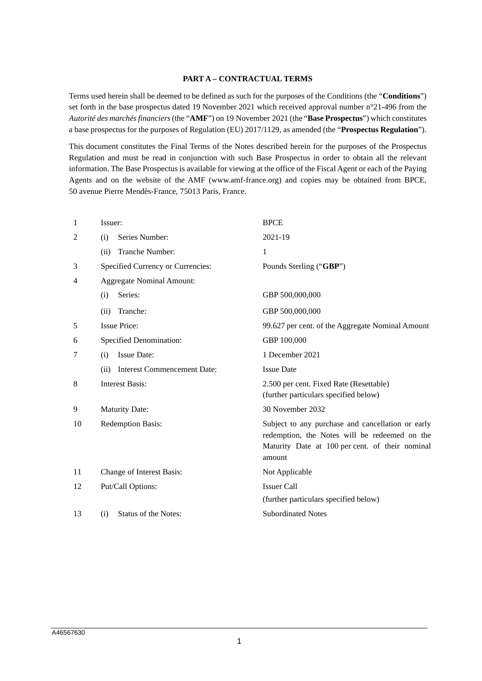## **PART A – CONTRACTUAL TERMS**

Terms used herein shall be deemed to be defined as such for the purposes of the Conditions (the "**Conditions**") set forth in the base prospectus dated 19 November 2021 which received approval number n°21-496 from the *Autorité des marchés financiers* (the "**AMF**") on 19 November 2021 (the "**Base Prospectus**") which constitutes a base prospectus for the purposes of Regulation (EU) 2017/1129, as amended (the "**Prospectus Regulation**").

This document constitutes the Final Terms of the Notes described herein for the purposes of the Prospectus Regulation and must be read in conjunction with such Base Prospectus in order to obtain all the relevant information. The Base Prospectus is available for viewing at the office of the Fiscal Agent or each of the Paying Agents and on the website of the AMF (www.amf-france.org) and copies may be obtained from BPCE, 50 avenue Pierre Mendès-France, 75013 Paris, France.

| Issuer:                                    | <b>BPCE</b>                                                                                                                                                     |  |  |
|--------------------------------------------|-----------------------------------------------------------------------------------------------------------------------------------------------------------------|--|--|
| Series Number:<br>(i)                      | 2021-19                                                                                                                                                         |  |  |
| Tranche Number:<br>(ii)                    | 1                                                                                                                                                               |  |  |
| Specified Currency or Currencies:          | Pounds Sterling ("GBP")                                                                                                                                         |  |  |
| <b>Aggregate Nominal Amount:</b>           |                                                                                                                                                                 |  |  |
| Series:<br>(i)                             | GBP 500,000,000                                                                                                                                                 |  |  |
| Tranche:<br>(ii)                           | GBP 500,000,000                                                                                                                                                 |  |  |
| <b>Issue Price:</b>                        | 99.627 per cent. of the Aggregate Nominal Amount                                                                                                                |  |  |
| <b>Specified Denomination:</b>             | GBP 100,000                                                                                                                                                     |  |  |
| <b>Issue Date:</b><br>(i)                  | 1 December 2021                                                                                                                                                 |  |  |
| <b>Interest Commencement Date:</b><br>(ii) | <b>Issue Date</b>                                                                                                                                               |  |  |
| <b>Interest Basis:</b>                     | 2.500 per cent. Fixed Rate (Resettable)<br>(further particulars specified below)                                                                                |  |  |
| <b>Maturity Date:</b>                      | 30 November 2032                                                                                                                                                |  |  |
| <b>Redemption Basis:</b>                   | Subject to any purchase and cancellation or early<br>redemption, the Notes will be redeemed on the<br>Maturity Date at 100 per cent. of their nominal<br>amount |  |  |
| Change of Interest Basis:                  | Not Applicable                                                                                                                                                  |  |  |
| Put/Call Options:                          | <b>Issuer Call</b>                                                                                                                                              |  |  |
|                                            | (further particulars specified below)                                                                                                                           |  |  |
| <b>Status of the Notes:</b><br>(i)         | <b>Subordinated Notes</b>                                                                                                                                       |  |  |
|                                            |                                                                                                                                                                 |  |  |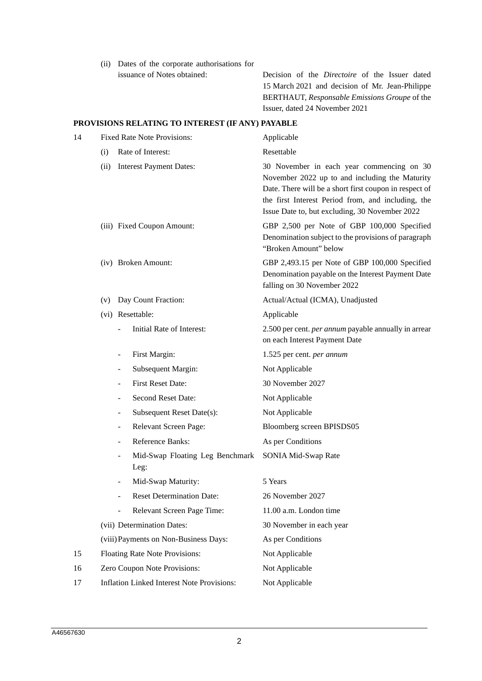(ii) Dates of the corporate authorisations for

issuance of Notes obtained: Decision of the *Directoire* of the Issuer dated 15 March 2021 and decision of Mr. Jean-Philippe BERTHAUT, *Responsable Emissions Groupe* of the Issuer, dated 24 November 2021

## **PROVISIONS RELATING TO INTEREST (IF ANY) PAYABLE**

| 14 | <b>Fixed Rate Note Provisions:</b>                       | Applicable                                                                                                                                                                                                                                                    |  |  |
|----|----------------------------------------------------------|---------------------------------------------------------------------------------------------------------------------------------------------------------------------------------------------------------------------------------------------------------------|--|--|
|    | Rate of Interest:<br>(i)                                 | Resettable                                                                                                                                                                                                                                                    |  |  |
|    | <b>Interest Payment Dates:</b><br>(ii)                   | 30 November in each year commencing on 30<br>November 2022 up to and including the Maturity<br>Date. There will be a short first coupon in respect of<br>the first Interest Period from, and including, the<br>Issue Date to, but excluding, 30 November 2022 |  |  |
|    | (iii) Fixed Coupon Amount:                               | GBP 2,500 per Note of GBP 100,000 Specified<br>Denomination subject to the provisions of paragraph<br>"Broken Amount" below                                                                                                                                   |  |  |
|    | (iv) Broken Amount:                                      | GBP 2,493.15 per Note of GBP 100,000 Specified<br>Denomination payable on the Interest Payment Date<br>falling on 30 November 2022                                                                                                                            |  |  |
|    | Day Count Fraction:<br>(v)                               | Actual/Actual (ICMA), Unadjusted                                                                                                                                                                                                                              |  |  |
|    | (vi) Resettable:                                         | Applicable                                                                                                                                                                                                                                                    |  |  |
|    | Initial Rate of Interest:                                | 2.500 per cent. <i>per annum</i> payable annually in arrear<br>on each Interest Payment Date                                                                                                                                                                  |  |  |
|    | First Margin:                                            | 1.525 per cent. per annum                                                                                                                                                                                                                                     |  |  |
|    | Subsequent Margin:<br>$\overline{\phantom{m}}$           | Not Applicable                                                                                                                                                                                                                                                |  |  |
|    | <b>First Reset Date:</b>                                 | 30 November 2027                                                                                                                                                                                                                                              |  |  |
|    | Second Reset Date:                                       | Not Applicable                                                                                                                                                                                                                                                |  |  |
|    | Subsequent Reset Date(s):                                | Not Applicable                                                                                                                                                                                                                                                |  |  |
|    | Relevant Screen Page:<br>$\qquad \qquad \blacksquare$    | Bloomberg screen BPISDS05                                                                                                                                                                                                                                     |  |  |
|    | Reference Banks:<br>$\overline{\phantom{m}}$             | As per Conditions                                                                                                                                                                                                                                             |  |  |
|    | Mid-Swap Floating Leg Benchmark<br>$\frac{1}{2}$<br>Leg: | SONIA Mid-Swap Rate                                                                                                                                                                                                                                           |  |  |
|    | Mid-Swap Maturity:                                       | 5 Years                                                                                                                                                                                                                                                       |  |  |
|    | <b>Reset Determination Date:</b>                         | 26 November 2027                                                                                                                                                                                                                                              |  |  |
|    | Relevant Screen Page Time:                               | 11.00 a.m. London time                                                                                                                                                                                                                                        |  |  |
|    | (vii) Determination Dates:                               | 30 November in each year                                                                                                                                                                                                                                      |  |  |
|    | (viii) Payments on Non-Business Days:                    | As per Conditions                                                                                                                                                                                                                                             |  |  |
| 15 | Floating Rate Note Provisions:                           | Not Applicable                                                                                                                                                                                                                                                |  |  |
| 16 | Zero Coupon Note Provisions:                             | Not Applicable                                                                                                                                                                                                                                                |  |  |
| 17 | <b>Inflation Linked Interest Note Provisions:</b>        | Not Applicable                                                                                                                                                                                                                                                |  |  |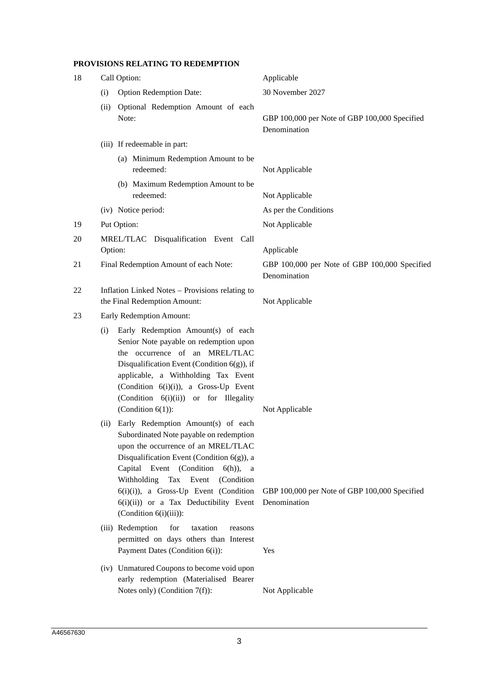# **PROVISIONS RELATING TO REDEMPTION**

| 18 | Call Option:                                                                                                                                                                                                                                                                                                                                                                         | Applicable                                                    |  |
|----|--------------------------------------------------------------------------------------------------------------------------------------------------------------------------------------------------------------------------------------------------------------------------------------------------------------------------------------------------------------------------------------|---------------------------------------------------------------|--|
|    | <b>Option Redemption Date:</b><br>(i)                                                                                                                                                                                                                                                                                                                                                | 30 November 2027                                              |  |
|    | Optional Redemption Amount of each<br>(ii)<br>Note:                                                                                                                                                                                                                                                                                                                                  | GBP 100,000 per Note of GBP 100,000 Specified<br>Denomination |  |
|    | (iii) If redeemable in part:                                                                                                                                                                                                                                                                                                                                                         |                                                               |  |
|    | (a) Minimum Redemption Amount to be<br>redeemed:                                                                                                                                                                                                                                                                                                                                     | Not Applicable                                                |  |
|    | (b) Maximum Redemption Amount to be<br>redeemed:                                                                                                                                                                                                                                                                                                                                     | Not Applicable                                                |  |
|    | (iv) Notice period:                                                                                                                                                                                                                                                                                                                                                                  | As per the Conditions                                         |  |
| 19 | Put Option:                                                                                                                                                                                                                                                                                                                                                                          | Not Applicable                                                |  |
| 20 | MREL/TLAC Disqualification Event Call<br>Option:                                                                                                                                                                                                                                                                                                                                     | Applicable                                                    |  |
| 21 | Final Redemption Amount of each Note:                                                                                                                                                                                                                                                                                                                                                | GBP 100,000 per Note of GBP 100,000 Specified<br>Denomination |  |
| 22 | Inflation Linked Notes - Provisions relating to<br>the Final Redemption Amount:                                                                                                                                                                                                                                                                                                      | Not Applicable                                                |  |
| 23 | Early Redemption Amount:                                                                                                                                                                                                                                                                                                                                                             |                                                               |  |
|    | Early Redemption Amount(s) of each<br>(i)<br>Senior Note payable on redemption upon<br>the occurrence of an MREL/TLAC<br>Disqualification Event (Condition $6(g)$ ), if<br>applicable, a Withholding Tax Event<br>(Condition $6(i)(i)$ ), a Gross-Up Event<br>(Condition 6(i)(ii)) or for Illegality<br>(Condition $6(1)$ ):                                                         | Not Applicable                                                |  |
|    | Early Redemption Amount(s) of each<br>(i)<br>Subordinated Note payable on redemption<br>upon the occurrence of an MREL/TLAC<br>Disqualification Event (Condition $6(g)$ ), a<br>Capital Event (Condition<br>$6(h)$ ),<br>a a<br>Withholding Tax Event<br>(Condition<br>6(i)(i)), a Gross-Up Event (Condition<br>$6(i)(ii)$ or a Tax Deductibility Event<br>(Condition $6(i)(iii)$ ): | GBP 100,000 per Note of GBP 100,000 Specified<br>Denomination |  |
|    | for<br>(iii) Redemption<br>taxation<br>reasons<br>permitted on days others than Interest<br>Payment Dates (Condition 6(i)):                                                                                                                                                                                                                                                          | Yes                                                           |  |
|    | (iv) Unmatured Coupons to become void upon<br>early redemption (Materialised Bearer<br>Notes only) (Condition $7(f)$ ):                                                                                                                                                                                                                                                              | Not Applicable                                                |  |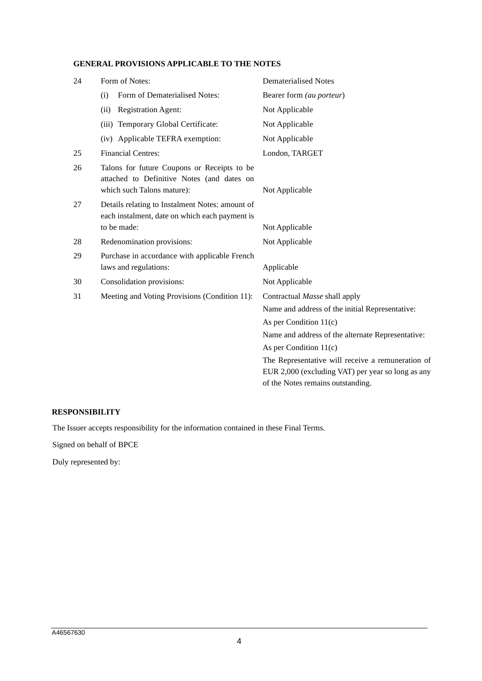# **GENERAL PROVISIONS APPLICABLE TO THE NOTES**

| 24 | Form of Notes:                                                                                                          | <b>Dematerialised Notes</b>                       |  |  |
|----|-------------------------------------------------------------------------------------------------------------------------|---------------------------------------------------|--|--|
|    | Form of Dematerialised Notes:<br>(i)                                                                                    | Bearer form (au porteur)                          |  |  |
|    | <b>Registration Agent:</b><br>(ii)                                                                                      | Not Applicable                                    |  |  |
|    | (iii) Temporary Global Certificate:                                                                                     | Not Applicable                                    |  |  |
|    | (iv) Applicable TEFRA exemption:                                                                                        | Not Applicable                                    |  |  |
| 25 | <b>Financial Centres:</b>                                                                                               | London, TARGET                                    |  |  |
| 26 | Talons for future Coupons or Receipts to be<br>attached to Definitive Notes (and dates on<br>which such Talons mature): | Not Applicable                                    |  |  |
| 27 | Details relating to Instalment Notes: amount of<br>each instalment, date on which each payment is<br>to be made:        | Not Applicable                                    |  |  |
| 28 | Redenomination provisions:                                                                                              | Not Applicable                                    |  |  |
| 29 | Purchase in accordance with applicable French                                                                           |                                                   |  |  |
|    | laws and regulations:                                                                                                   | Applicable                                        |  |  |
| 30 | Consolidation provisions:                                                                                               | Not Applicable                                    |  |  |
| 31 | Meeting and Voting Provisions (Condition 11):                                                                           | Contractual Masse shall apply                     |  |  |
|    |                                                                                                                         | Name and address of the initial Representative:   |  |  |
|    |                                                                                                                         | As per Condition $11(c)$                          |  |  |
|    |                                                                                                                         | Name and address of the alternate Representative: |  |  |
|    |                                                                                                                         | As per Condition $11(c)$                          |  |  |
|    |                                                                                                                         | The Representative will receive a remuneration of |  |  |
|    |                                                                                                                         | EUR 2,000 (excluding VAT) per year so long as any |  |  |
|    |                                                                                                                         | of the Notes remains outstanding.                 |  |  |

# **RESPONSIBILITY**

The Issuer accepts responsibility for the information contained in these Final Terms.

Signed on behalf of BPCE

Duly represented by: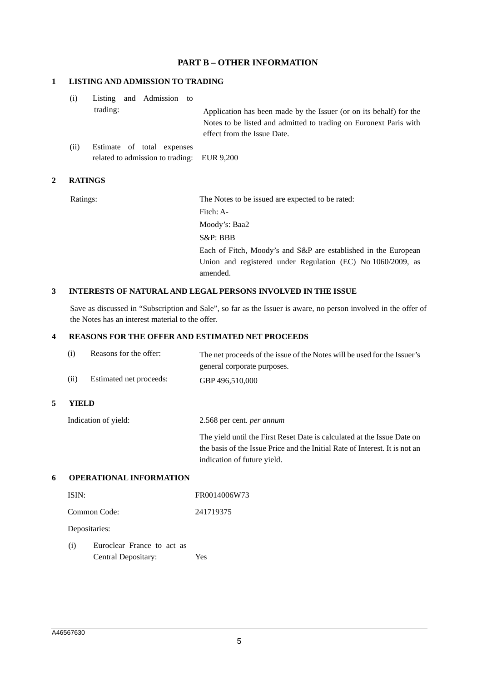# **PART B – OTHER INFORMATION**

### **1 LISTING AND ADMISSION TO TRADING**

| (i) |          | Listing and Admission to |                                                                    |
|-----|----------|--------------------------|--------------------------------------------------------------------|
|     | trading: |                          | Application has been made by the Issuer (or on its behalf) for the |
|     |          |                          | Notes to be listed and admitted to trading on Euronext Paris with  |
|     |          |                          | effect from the Issue Date.                                        |
| .   |          |                          |                                                                    |

(ii) Estimate of total expenses related to admission to trading: EUR 9,200

## **2 RATINGS**

Ratings: The Notes to be issued are expected to be rated: Fitch: A-Moody's: Baa2 S&P: BBB Each of Fitch, Moody's and S&P are established in the European Union and registered under Regulation (EC) No 1060/2009, as amended.

#### **3 INTERESTS OF NATURAL AND LEGAL PERSONS INVOLVED IN THE ISSUE**

Save as discussed in "Subscription and Sale", so far as the Issuer is aware, no person involved in the offer of the Notes has an interest material to the offer.

### **4 REASONS FOR THE OFFER AND ESTIMATED NET PROCEEDS**

|   | Reasons for the offer:<br>(i) |                                | The net proceeds of the issue of the Notes will be used for the Issuer's<br>general corporate purposes.                                                                               |
|---|-------------------------------|--------------------------------|---------------------------------------------------------------------------------------------------------------------------------------------------------------------------------------|
|   | (ii)                          | Estimated net proceeds:        | GBP 496,510,000                                                                                                                                                                       |
| 5 | YIELD                         |                                |                                                                                                                                                                                       |
|   | Indication of yield:          |                                | 2.568 per cent. <i>per annum</i>                                                                                                                                                      |
|   |                               |                                | The yield until the First Reset Date is calculated at the Issue Date on<br>the basis of the Issue Price and the Initial Rate of Interest. It is not an<br>indication of future yield. |
| 6 |                               | <b>OPERATIONAL INFORMATION</b> |                                                                                                                                                                                       |
|   | ISIN:                         |                                | FR0014006W73                                                                                                                                                                          |

| Common Code:  | 241719375 |  |
|---------------|-----------|--|
| Depositaries: |           |  |

| (i) | Euroclear France to act as |            |
|-----|----------------------------|------------|
|     | Central Depositary:        | <b>Yes</b> |

**5 YIELD**